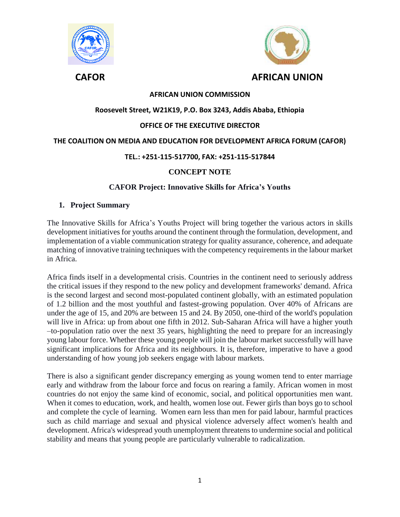



# **AFRICAN UNION COMMISSION**

## **Roosevelt Street, W21K19, P.O. Box 3243, Addis Ababa, Ethiopia**

## **OFFICE OF THE EXECUTIVE DIRECTOR**

#### **THE COALITION ON MEDIA AND EDUCATION FOR DEVELOPMENT AFRICA FORUM (CAFOR)**

## **TEL.: +251-115-517700, FAX: +251-115-517844**

# **CONCEPT NOTE**

## **CAFOR Project: Innovative Skills for Africa's Youths**

#### **1. Project Summary**

The Innovative Skills for Africa's Youths Project will bring together the various actors in skills development initiatives for youths around the continent through the formulation, development, and implementation of a viable communication strategy for quality assurance, coherence, and adequate matching of innovative training techniques with the competency requirements in the labour market in Africa.

Africa finds itself in a developmental crisis. Countries in the continent need to seriously address the critical issues if they respond to the new policy and development frameworks' demand. Africa is the second largest and second most-populated continent globally, with an estimated population of 1.2 billion and the most youthful and fastest-growing population. Over 40% of Africans are under the age of 15, and 20% are between 15 and 24. By 2050, one-third of the world's population will live in Africa: up from about one fifth in 2012. Sub-Saharan Africa will have a higher youth –to-population ratio over the next 35 years, highlighting the need to prepare for an increasingly young labour force. Whether these young people will join the labour market successfully will have significant implications for Africa and its neighbours. It is, therefore, imperative to have a good understanding of how young job seekers engage with labour markets.

There is also a significant gender discrepancy emerging as young women tend to enter marriage early and withdraw from the labour force and focus on rearing a family. African women in most countries do not enjoy the same kind of economic, social, and political opportunities men want. When it comes to education, work, and health, women lose out. Fewer girls than boys go to school and complete the cycle of learning. Women earn less than men for paid labour, harmful practices such as child marriage and sexual and physical violence adversely affect women's health and development. Africa's widespread youth unemployment threatens to undermine social and political stability and means that young people are particularly vulnerable to radicalization.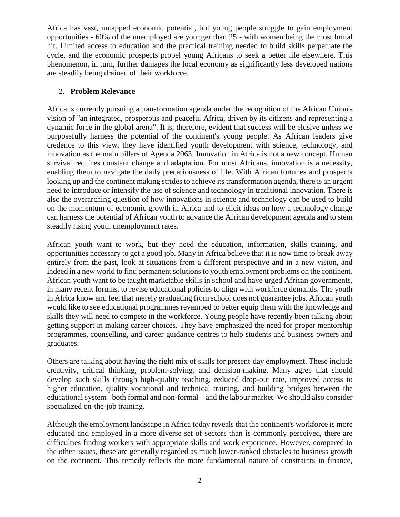Africa has vast, untapped economic potential, but young people struggle to gain employment opportunities - 60% of the unemployed are younger than 25 - with women being the most brutal hit. Limited access to education and the practical training needed to build skills perpetuate the cycle, and the economic prospects propel young Africans to seek a better life elsewhere. This phenomenon, in turn, further damages the local economy as significantly less developed nations are steadily being drained of their workforce.

# 2. **Problem Relevance**

Africa is currently pursuing a transformation agenda under the recognition of the African Union's vision of "an integrated, prosperous and peaceful Africa, driven by its citizens and representing a dynamic force in the global arena". It is, therefore, evident that success will be elusive unless we purposefully harness the potential of the continent's young people. As African leaders give credence to this view, they have identified youth development with science, technology, and innovation as the main pillars of Agenda 2063. Innovation in Africa is not a new concept. Human survival requires constant change and adaptation. For most Africans, innovation is a necessity, enabling them to navigate the daily precariousness of life. With African fortunes and prospects looking up and the continent making strides to achieve its transformation agenda, there is an urgent need to introduce or intensify the use of science and technology in traditional innovation. There is also the overarching question of how innovations in science and technology can be used to build on the momentum of economic growth in Africa and to elicit ideas on how a technology change can harness the potential of African youth to advance the African development agenda and to stem steadily rising youth unemployment rates.

African youth want to work, but they need the education, information, skills training, and opportunities necessary to get a good job. Many in Africa believe that it is now time to break away entirely from the past, look at situations from a different perspective and in a new vision, and indeed in a new world to find permanent solutions to youth employment problems on the continent. African youth want to be taught marketable skills in school and have urged African governments, in many recent forums, to revise educational policies to align with workforce demands. The youth in Africa know and feel that merely graduating from school does not guarantee jobs. African youth would like to see educational programmes revamped to better equip them with the knowledge and skills they will need to compete in the workforce. Young people have recently been talking about getting support in making career choices. They have emphasized the need for proper mentorship programmes, counselling, and career guidance centres to help students and business owners and graduates.

Others are talking about having the right mix of skills for present-day employment. These include creativity, critical thinking, problem-solving, and decision-making. Many agree that should develop such skills through high-quality teaching, reduced drop-out rate, improved access to higher education, quality vocational and technical training, and building bridges between the educational system –both formal and non-formal – and the labour market. We should also consider specialized on-the-job training.

Although the employment landscape in Africa today reveals that the continent's workforce is more educated and employed in a more diverse set of sectors than is commonly perceived, there are difficulties finding workers with appropriate skills and work experience. However, compared to the other issues, these are generally regarded as much lower-ranked obstacles to business growth on the continent. This remedy reflects the more fundamental nature of constraints in finance,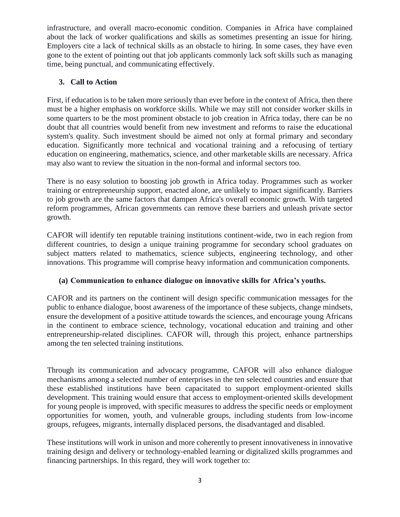infrastructure, and overall macro-economic condition. Companies in Africa have complained about the lack of worker qualifications and skills as sometimes presenting an issue for hiring. Employers cite a lack of technical skills as an obstacle to hiring. In some cases, they have even gone to the extent of pointing out that job applicants commonly lack soft skills such as managing time, being punctual, and communicating effectively.

# **3. Call to Action**

First, if education is to be taken more seriously than ever before in the context of Africa, then there must be a higher emphasis on workforce skills. While we may still not consider worker skills in some quarters to be the most prominent obstacle to job creation in Africa today, there can be no doubt that all countries would benefit from new investment and reforms to raise the educational system's quality. Such investment should be aimed not only at formal primary and secondary education. Significantly more technical and vocational training and a refocusing of tertiary education on engineering, mathematics, science, and other marketable skills are necessary. Africa may also want to review the situation in the non-formal and informal sectors too.

There is no easy solution to boosting job growth in Africa today. Programmes such as worker training or entrepreneurship support, enacted alone, are unlikely to impact significantly. Barriers to job growth are the same factors that dampen Africa's overall economic growth. With targeted reform programmes, African governments can remove these barriers and unleash private sector growth.

CAFOR will identify ten reputable training institutions continent-wide, two in each region from different countries, to design a unique training programme for secondary school graduates on subject matters related to mathematics, science subjects, engineering technology, and other innovations. This programme will comprise heavy information and communication components.

# **(a) Communication to enhance dialogue on innovative skills for Africa's youths.**

CAFOR and its partners on the continent will design specific communication messages for the public to enhance dialogue, boost awareness of the importance of these subjects, change mindsets, ensure the development of a positive attitude towards the sciences, and encourage young Africans in the continent to embrace science, technology, vocational education and training and other entrepreneurship-related disciplines. CAFOR will, through this project, enhance partnerships among the ten selected training institutions.

Through its communication and advocacy programme, CAFOR will also enhance dialogue mechanisms among a selected number of enterprises in the ten selected countries and ensure that these established institutions have been capacitated to support employment-oriented skills development. This training would ensure that access to employment-oriented skills development for young people is improved, with specific measures to address the specific needs or employment opportunities for women, youth, and vulnerable groups, including students from low-income groups, refugees, migrants, internally displaced persons, the disadvantaged and disabled.

These institutions will work in unison and more coherently to present innovativeness in innovative training design and delivery or technology-enabled learning or digitalized skills programmes and financing partnerships. In this regard, they will work together to: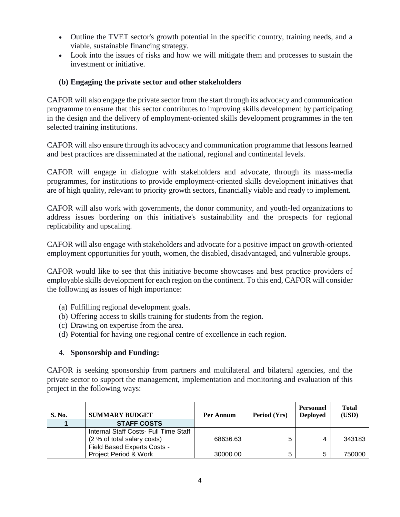- Outline the TVET sector's growth potential in the specific country, training needs, and a viable, sustainable financing strategy.
- Look into the issues of risks and how we will mitigate them and processes to sustain the investment or initiative.

## **(b) Engaging the private sector and other stakeholders**

CAFOR will also engage the private sector from the start through its advocacy and communication programme to ensure that this sector contributes to improving skills development by participating in the design and the delivery of employment-oriented skills development programmes in the ten selected training institutions.

CAFOR will also ensure through its advocacy and communication programme that lessons learned and best practices are disseminated at the national, regional and continental levels.

CAFOR will engage in dialogue with stakeholders and advocate, through its mass-media programmes, for institutions to provide employment-oriented skills development initiatives that are of high quality, relevant to priority growth sectors, financially viable and ready to implement.

CAFOR will also work with governments, the donor community, and youth-led organizations to address issues bordering on this initiative's sustainability and the prospects for regional replicability and upscaling.

CAFOR will also engage with stakeholders and advocate for a positive impact on growth-oriented employment opportunities for youth, women, the disabled, disadvantaged, and vulnerable groups.

CAFOR would like to see that this initiative become showcases and best practice providers of employable skills development for each region on the continent. To this end, CAFOR will consider the following as issues of high importance:

- (a) Fulfilling regional development goals.
- (b) Offering access to skills training for students from the region.
- (c) Drawing on expertise from the area.
- (d) Potential for having one regional centre of excellence in each region.

#### 4. **Sponsorship and Funding:**

CAFOR is seeking sponsorship from partners and multilateral and bilateral agencies, and the private sector to support the management, implementation and monitoring and evaluation of this project in the following ways:

| <b>S. No.</b> | <b>SUMMARY BUDGET</b>                 | Per Annum | Period (Yrs) | <b>Personnel</b><br><b>Deployed</b> | <b>Total</b><br>(USD) |
|---------------|---------------------------------------|-----------|--------------|-------------------------------------|-----------------------|
|               | <b>STAFF COSTS</b>                    |           |              |                                     |                       |
|               | Internal Staff Costs- Full Time Staff |           |              |                                     |                       |
|               | (2 % of total salary costs)           | 68636.63  | 5            |                                     | 343183                |
|               | Field Based Experts Costs -           |           |              |                                     |                       |
|               | Project Period & Work                 | 30000.00  | 5            | 5                                   | 750000                |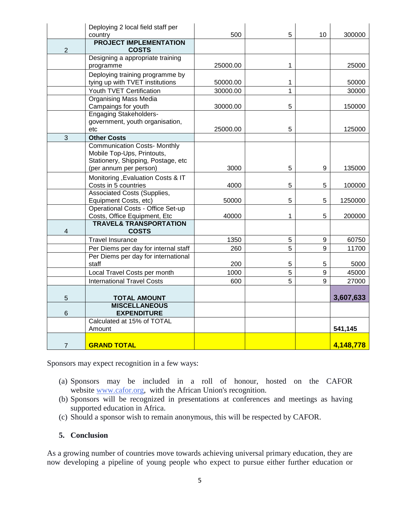|                 | Deploying 2 local field staff per                                 | 500      | 5              | 10               | 300000    |
|-----------------|-------------------------------------------------------------------|----------|----------------|------------------|-----------|
|                 | country<br><b>PROJECT IMPLEMENTATION</b>                          |          |                |                  |           |
| $\overline{2}$  | <b>COSTS</b>                                                      |          |                |                  |           |
|                 | Designing a appropriate training                                  |          |                |                  |           |
|                 | programme                                                         | 25000.00 | 1              |                  | 25000     |
|                 | Deploying training programme by                                   |          |                |                  |           |
|                 | tying up with TVET institutions                                   | 50000.00 | 1              |                  | 50000     |
|                 | Youth TVET Certification                                          | 30000.00 | $\overline{1}$ |                  | 30000     |
|                 | <b>Organising Mass Media</b>                                      |          |                |                  |           |
|                 | Campaings for youth                                               | 30000.00 | 5              |                  | 150000    |
|                 | <b>Engaging Stakeholders-</b>                                     |          |                |                  |           |
|                 | government, youth organisation,                                   |          |                |                  |           |
|                 | etc                                                               | 25000.00 | 5              |                  | 125000    |
| 3               | <b>Other Costs</b>                                                |          |                |                  |           |
|                 | <b>Communication Costs- Monthly</b>                               |          |                |                  |           |
|                 | Mobile Top-Ups, Printouts,                                        |          |                |                  |           |
|                 | Stationery, Shipping, Postage, etc                                |          |                |                  |           |
|                 | (per annum per person)                                            | 3000     | 5              | 9                | 135000    |
|                 | Monitoring, Evaluation Costs & IT                                 |          |                |                  |           |
|                 | Costs in 5 countries                                              | 4000     | 5              | 5                | 100000    |
|                 | <b>Associated Costs (Supplies,</b>                                |          | 5              | 5                |           |
|                 | Equipment Costs, etc)<br><b>Operational Costs - Office Set-up</b> | 50000    |                |                  | 1250000   |
|                 | Costs, Office Equipment, Etc                                      | 40000    | 1              | 5                | 200000    |
|                 | <b>TRAVEL&amp; TRANSPORTATION</b>                                 |          |                |                  |           |
| 4               | <b>COSTS</b>                                                      |          |                |                  |           |
|                 | <b>Travel Insurance</b>                                           | 1350     | 5              | $\boldsymbol{9}$ | 60750     |
|                 | Per Diems per day for internal staff                              | 260      | 5              | 9                | 11700     |
|                 | Per Diems per day for international                               |          |                |                  |           |
|                 | staff                                                             | 200      | 5              | 5                | 5000      |
|                 | Local Travel Costs per month                                      | 1000     | 5              | $\boldsymbol{9}$ | 45000     |
|                 | <b>International Travel Costs</b>                                 | 600      | 5              | 9                | 27000     |
|                 |                                                                   |          |                |                  |           |
| 5               | <b>TOTAL AMOUNT</b>                                               |          |                |                  | 3,607,633 |
|                 | <b>MISCELLANEOUS</b>                                              |          |                |                  |           |
| $6\phantom{1}6$ | <b>EXPENDITURE</b>                                                |          |                |                  |           |
|                 | Calculated at 15% of TOTAL                                        |          |                |                  |           |
|                 | Amount                                                            |          |                |                  | 541,145   |
|                 |                                                                   |          |                |                  |           |
| $\overline{7}$  | <b>GRAND TOTAL</b>                                                |          |                |                  | 4,148,778 |

Sponsors may expect recognition in a few ways:

- (a) Sponsors may be included in a roll of honour, hosted on the CAFOR website [www.cafor.org,](http://www.cafor.org/) with the African Union's recognition.
- (b) Sponsors will be recognized in presentations at conferences and meetings as having supported education in Africa.
- (c) Should a sponsor wish to remain anonymous, this will be respected by CAFOR.

#### **5. Conclusion**

As a growing number of countries move towards achieving universal primary education, they are now developing a pipeline of young people who expect to pursue either further education or